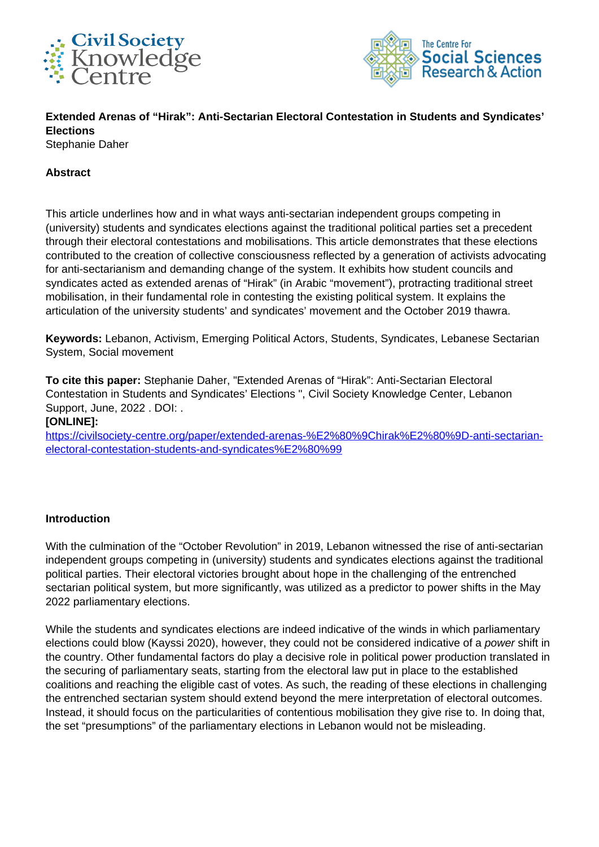



**Extended Arenas of "Hirak": Anti-Sectarian Electoral Contestation in Students and Syndicates' Elections** Stephanie Daher

#### **Abstract**

This article underlines how and in what ways anti-sectarian independent groups competing in (university) students and syndicates elections against the traditional political parties set a precedent through their electoral contestations and mobilisations. This article demonstrates that these elections contributed to the creation of collective consciousness reflected by a generation of activists advocating for anti-sectarianism and demanding change of the system. It exhibits how student councils and syndicates acted as extended arenas of "Hirak" (in Arabic "movement"), protracting traditional street mobilisation, in their fundamental role in contesting the existing political system. It explains the articulation of the university students' and syndicates' movement and the October 2019 thawra.

**Keywords:** Lebanon, Activism, Emerging Political Actors, Students, Syndicates, Lebanese Sectarian System, Social movement

**To cite this paper:** Stephanie Daher, "Extended Arenas of "Hirak": Anti-Sectarian Electoral Contestation in Students and Syndicates' Elections ", Civil Society Knowledge Center, Lebanon Support, June, 2022 . DOI: .

**[ONLINE]:**

[https://civilsociety-centre.org/paper/extended-arenas-%E2%80%9Chirak%E2%80%9D-anti-sectarian](https://civilsociety-centre.org/paper/extended-arenas-%E2%80%9Chirak%E2%80%9D-anti-sectarian-electoral-contestation-students-and-syndicates%E2%80%99)[electoral-contestation-students-and-syndicates%E2%80%99](https://civilsociety-centre.org/paper/extended-arenas-%E2%80%9Chirak%E2%80%9D-anti-sectarian-electoral-contestation-students-and-syndicates%E2%80%99)

#### **Introduction**

With the culmination of the "October Revolution" in 2019, Lebanon witnessed the rise of anti-sectarian independent groups competing in (university) students and syndicates elections against the traditional political parties. Their electoral victories brought about hope in the challenging of the entrenched sectarian political system, but more significantly, was utilized as a predictor to power shifts in the May 2022 parliamentary elections.

While the students and syndicates elections are indeed indicative of the winds in which parliamentary elections could blow (Kayssi 2020), however, they could not be considered indicative of a power shift in the country. Other fundamental factors do play a decisive role in political power production translated in the securing of parliamentary seats, starting from the electoral law put in place to the established coalitions and reaching the eligible cast of votes. As such, the reading of these elections in challenging the entrenched sectarian system should extend beyond the mere interpretation of electoral outcomes. Instead, it should focus on the particularities of contentious mobilisation they give rise to. In doing that, the set "presumptions" of the parliamentary elections in Lebanon would not be misleading.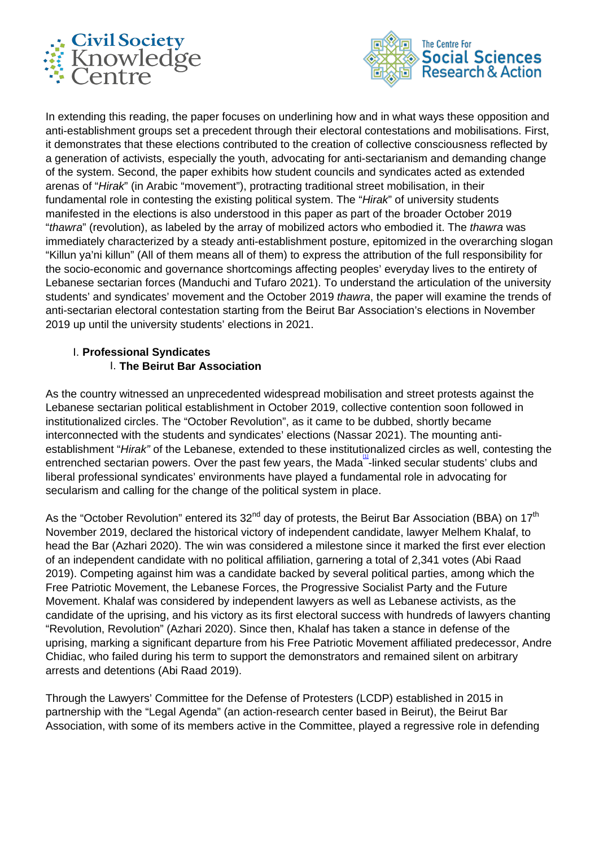



In extending this reading, the paper focuses on underlining how and in what ways these opposition and anti-establishment groups set a precedent through their electoral contestations and mobilisations. First, it demonstrates that these elections contributed to the creation of collective consciousness reflected by a generation of activists, especially the youth, advocating for anti-sectarianism and demanding change of the system. Second, the paper exhibits how student councils and syndicates acted as extended arenas of "Hirak" (in Arabic "movement"), protracting traditional street mobilisation, in their fundamental role in contesting the existing political system. The "Hirak" of university students manifested in the elections is also understood in this paper as part of the broader October 2019 "thawra" (revolution), as labeled by the array of mobilized actors who embodied it. The thawra was immediately characterized by a steady anti-establishment posture, epitomized in the overarching slogan "Killun ya'ni killun" (All of them means all of them) to express the attribution of the full responsibility for the socio-economic and governance shortcomings affecting peoples' everyday lives to the entirety of Lebanese sectarian forces (Manduchi and Tufaro 2021). To understand the articulation of the university students' and syndicates' movement and the October 2019 thawra, the paper will examine the trends of anti-sectarian electoral contestation starting from the Beirut Bar Association's elections in November 2019 up until the university students' elections in 2021.

# I. **Professional Syndicates**  I. **The Beirut Bar Association**

As the country witnessed an unprecedented widespread mobilisation and street protests against the Lebanese sectarian political establishment in October 2019, collective contention soon followed in institutionalized circles. The "October Revolution", as it came to be dubbed, shortly became interconnected with the students and syndicates' elections (Nassar 2021). The mounting antiestablishment "Hirak" of the Lebanese, extended to these institutionalized circles as well, contesting the entrenched sectarian powers. Over the past few years, the Mada<sup>11</sup>-linked secular students' clubs and liberal professional syndicates' environments have played a fundamental role in advocating for secularism and calling for the change of the political system in place.

As the "October Revolution" entered its  $32^{nd}$  day of protests, the Beirut Bar Association (BBA) on  $17<sup>th</sup>$ November 2019, declared the historical victory of independent candidate, lawyer Melhem Khalaf, to head the Bar (Azhari 2020). The win was considered a milestone since it marked the first ever election of an independent candidate with no political affiliation, garnering a total of 2,341 votes (Abi Raad 2019). Competing against him was a candidate backed by several political parties, among which the Free Patriotic Movement, the Lebanese Forces, the Progressive Socialist Party and the Future Movement. Khalaf was considered by independent lawyers as well as Lebanese activists, as the candidate of the uprising, and his victory as its first electoral success with hundreds of lawyers chanting "Revolution, Revolution" (Azhari 2020). Since then, Khalaf has taken a stance in defense of the uprising, marking a significant departure from his Free Patriotic Movement affiliated predecessor, Andre Chidiac, who failed during his term to support the demonstrators and remained silent on arbitrary arrests and detentions (Abi Raad 2019).

Through the Lawyers' Committee for the Defense of Protesters (LCDP) established in 2015 in partnership with the "Legal Agenda" (an action-research center based in Beirut), the Beirut Bar Association, with some of its members active in the Committee, played a regressive role in defending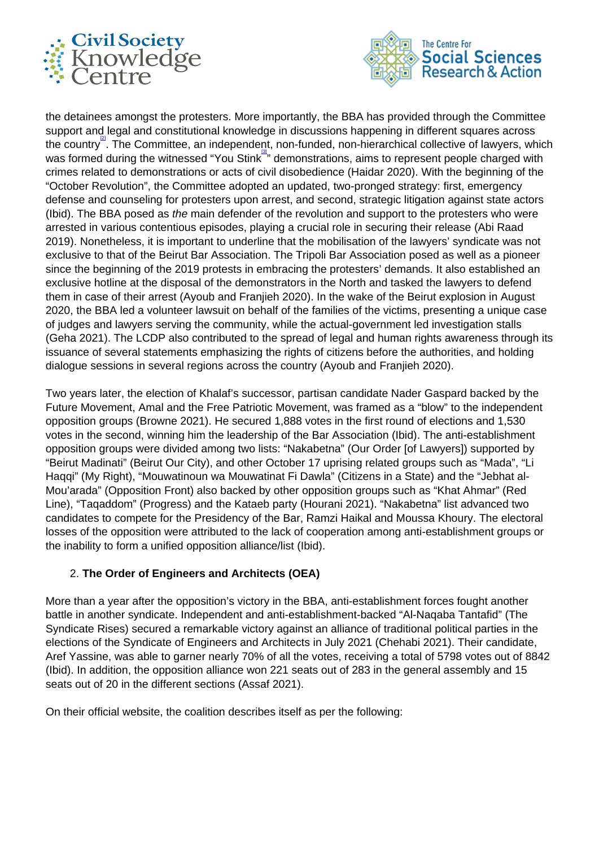



the detainees amongst the protesters. More importantly, the BBA has provided through the Committee support and legal and constitutional knowledge in discussions happening in different squares across the country<sup>2</sup>. The Committee, an independent, non-funded, non-hierarchical collective of lawyers, which was formed during the witnessed "You Stink" demonstrations, aims to represent people charged with crimes related to demonstrations or acts of civil disobedience (Haidar 2020). With the beginning of the "October Revolution", the Committee adopted an updated, two-pronged strategy: first, emergency defense and counseling for protesters upon arrest, and second, strategic litigation against state actors (Ibid). The BBA posed as the main defender of the revolution and support to the protesters who were arrested in various contentious episodes, playing a crucial role in securing their release (Abi Raad 2019). Nonetheless, it is important to underline that the mobilisation of the lawyers' syndicate was not exclusive to that of the Beirut Bar Association. The Tripoli Bar Association posed as well as a pioneer since the beginning of the 2019 protests in embracing the protesters' demands. It also established an exclusive hotline at the disposal of the demonstrators in the North and tasked the lawyers to defend them in case of their arrest (Ayoub and Franjieh 2020). In the wake of the Beirut explosion in August 2020, the BBA led a volunteer lawsuit on behalf of the families of the victims, presenting a unique case of judges and lawyers serving the community, while the actual-government led investigation stalls (Geha 2021). The LCDP also contributed to the spread of legal and human rights awareness through its issuance of several statements emphasizing the rights of citizens before the authorities, and holding dialogue sessions in several regions across the country (Ayoub and Franjieh 2020).

Two years later, the election of Khalaf's successor, partisan candidate Nader Gaspard backed by the Future Movement, Amal and the Free Patriotic Movement, was framed as a "blow" to the independent opposition groups (Browne 2021). He secured 1,888 votes in the first round of elections and 1,530 votes in the second, winning him the leadership of the Bar Association (Ibid). The anti-establishment opposition groups were divided among two lists: "Nakabetna" (Our Order [of Lawyers]) supported by "Beirut Madinati" (Beirut Our City), and other October 17 uprising related groups such as "Mada", "Li Haqqi" (My Right), "Mouwatinoun wa Mouwatinat Fi Dawla" (Citizens in a State) and the "Jebhat al-Mou'arada" (Opposition Front) also backed by other opposition groups such as "Khat Ahmar" (Red Line), "Taqaddom" (Progress) and the Kataeb party (Hourani 2021). "Nakabetna" list advanced two candidates to compete for the Presidency of the Bar, Ramzi Haikal and Moussa Khoury. The electoral losses of the opposition were attributed to the lack of cooperation among anti-establishment groups or the inability to form a unified opposition alliance/list (Ibid).

## 2. **The Order of Engineers and Architects (OEA)**

More than a year after the opposition's victory in the BBA, anti-establishment forces fought another battle in another syndicate. Independent and anti-establishment-backed "Al-Naqaba Tantafid" (The Syndicate Rises) secured a remarkable victory against an alliance of traditional political parties in the elections of the Syndicate of Engineers and Architects in July 2021 (Chehabi 2021). Their candidate, Aref Yassine, was able to garner nearly 70% of all the votes, receiving a total of 5798 votes out of 8842 (Ibid). In addition, the opposition alliance won 221 seats out of 283 in the general assembly and 15 seats out of 20 in the different sections (Assaf 2021).

On their official website, the coalition describes itself as per the following: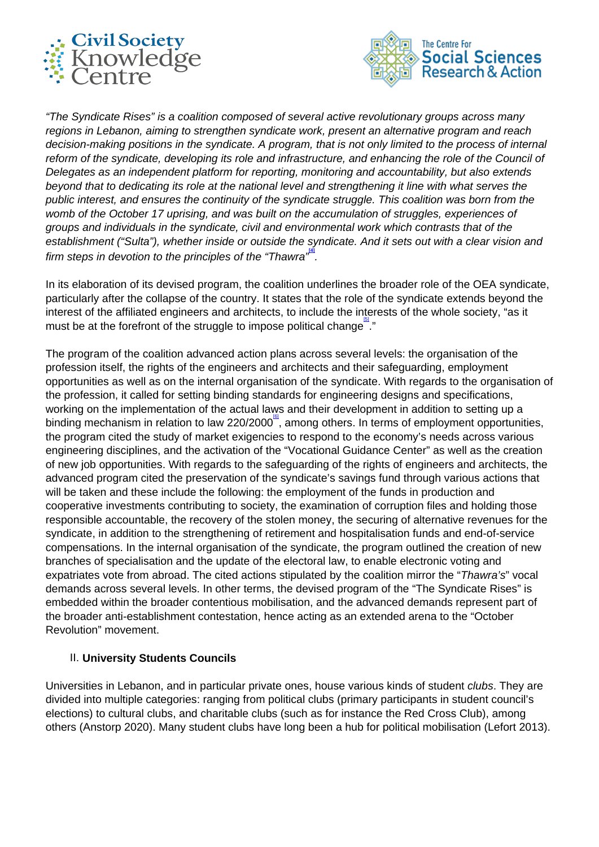



"The Syndicate Rises" is a coalition composed of several active revolutionary groups across many regions in Lebanon, aiming to strengthen syndicate work, present an alternative program and reach decision-making positions in the syndicate. A program, that is not only limited to the process of internal reform of the syndicate, developing its role and infrastructure, and enhancing the role of the Council of Delegates as an independent platform for reporting, monitoring and accountability, but also extends beyond that to dedicating its role at the national level and strengthening it line with what serves the public interest, and ensures the continuity of the syndicate struggle. This coalition was born from the womb of the October 17 uprising, and was built on the accumulation of struggles, experiences of groups and individuals in the syndicate, civil and environmental work which contrasts that of the establishment ("Sulta"), whether inside or outside the syndicate. And it sets out with a clear vision and firm steps in devotion to the principles of the "Thawra<sup>", "1</sup>.

In its elaboration of its devised program, the coalition underlines the broader role of the OEA syndicate, particularly after the collapse of the country. It states that the role of the syndicate extends beyond the interest of the affiliated engineers and architects, to include the interests of the whole society, "as it must be at the forefront of the struggle to impose political change.<sup>[5]</sup>."

The program of the coalition advanced action plans across several levels: the organisation of the profession itself, the rights of the engineers and architects and their safeguarding, employment opportunities as well as on the internal organisation of the syndicate. With regards to the organisation of the profession, it called for setting binding standards for engineering designs and specifications, working on the implementation of the actual laws and their development in addition to setting up a binding mechanism in relation to law 220/2000<sup>®</sup>, among others. In terms of employment opportunities, the program cited the study of market exigencies to respond to the economy's needs across various engineering disciplines, and the activation of the "Vocational Guidance Center" as well as the creation of new job opportunities. With regards to the safeguarding of the rights of engineers and architects, the advanced program cited the preservation of the syndicate's savings fund through various actions that will be taken and these include the following: the employment of the funds in production and cooperative investments contributing to society, the examination of corruption files and holding those responsible accountable, the recovery of the stolen money, the securing of alternative revenues for the syndicate, in addition to the strengthening of retirement and hospitalisation funds and end-of-service compensations. In the internal organisation of the syndicate, the program outlined the creation of new branches of specialisation and the update of the electoral law, to enable electronic voting and expatriates vote from abroad. The cited actions stipulated by the coalition mirror the "Thawra's" vocal demands across several levels. In other terms, the devised program of the "The Syndicate Rises" is embedded within the broader contentious mobilisation, and the advanced demands represent part of the broader anti-establishment contestation, hence acting as an extended arena to the "October Revolution" movement.

#### II. **University Students Councils**

Universities in Lebanon, and in particular private ones, house various kinds of student *clubs*. They are divided into multiple categories: ranging from political clubs (primary participants in student council's elections) to cultural clubs, and charitable clubs (such as for instance the Red Cross Club), among others (Anstorp 2020). Many student clubs have long been a hub for political mobilisation (Lefort 2013).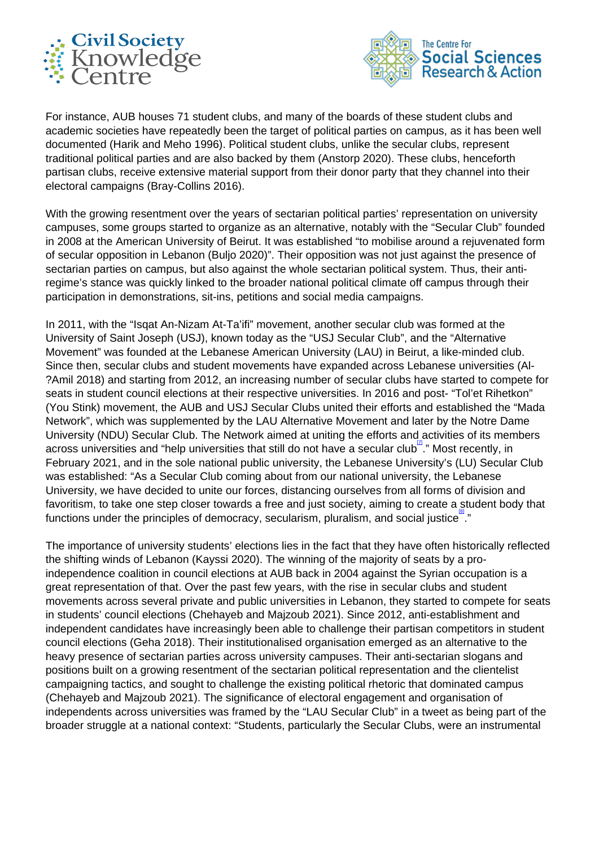



For instance, AUB houses 71 student clubs, and many of the boards of these student clubs and academic societies have repeatedly been the target of political parties on campus, as it has been well documented (Harik and Meho 1996). Political student clubs, unlike the secular clubs, represent traditional political parties and are also backed by them (Anstorp 2020). These clubs, henceforth partisan clubs, receive extensive material support from their donor party that they channel into their electoral campaigns (Bray-Collins 2016).

With the growing resentment over the years of sectarian political parties' representation on university campuses, some groups started to organize as an alternative, notably with the "Secular Club" founded in 2008 at the American University of Beirut. It was established "to mobilise around a rejuvenated form of secular opposition in Lebanon (Buljo 2020)". Their opposition was not just against the presence of sectarian parties on campus, but also against the whole sectarian political system. Thus, their antiregime's stance was quickly linked to the broader national political climate off campus through their participation in demonstrations, sit-ins, petitions and social media campaigns.

In 2011, with the "Isqat An-Nizam At-Ta'ifi" movement, another secular club was formed at the University of Saint Joseph (USJ), known today as the "USJ Secular Club", and the "Alternative Movement" was founded at the Lebanese American University (LAU) in Beirut, a like-minded club. Since then, secular clubs and student movements have expanded across Lebanese universities (Al- ?Amil 2018) and starting from 2012, an increasing number of secular clubs have started to compete for seats in student council elections at their respective universities. In 2016 and post- "Tol'et Rihetkon" (You Stink) movement, the AUB and USJ Secular Clubs united their efforts and established the "Mada Network", which was supplemented by the LAU Alternative Movement and later by the Notre Dame University (NDU) Secular Club. The Network aimed at uniting the efforts and activities of its members across universities and "help universities that still do not have a secular club<sup>"</sup>." Most recently, in February 2021, and in the sole national public university, the Lebanese University's (LU) Secular Club was established: "As a Secular Club coming about from our national university, the Lebanese University, we have decided to unite our forces, distancing ourselves from all forms of division and favoritism, to take one step closer towards a free and just society, aiming to create a student body that functions under the principles of democracy, secularism, pluralism, and social justice  $\frac{a_1}{b_1}$ 

The importance of university students' elections lies in the fact that they have often historically reflected the shifting winds of Lebanon (Kayssi 2020). The winning of the majority of seats by a proindependence coalition in council elections at AUB back in 2004 against the Syrian occupation is a great representation of that. Over the past few years, with the rise in secular clubs and student movements across several private and public universities in Lebanon, they started to compete for seats in students' council elections (Chehayeb and Majzoub 2021). Since 2012, anti-establishment and independent candidates have increasingly been able to challenge their partisan competitors in student council elections (Geha 2018). Their institutionalised organisation emerged as an alternative to the heavy presence of sectarian parties across university campuses. Their anti-sectarian slogans and positions built on a growing resentment of the sectarian political representation and the clientelist campaigning tactics, and sought to challenge the existing political rhetoric that dominated campus (Chehayeb and Majzoub 2021). The significance of electoral engagement and organisation of independents across universities was framed by the "LAU Secular Club" in a tweet as being part of the broader struggle at a national context: "Students, particularly the Secular Clubs, were an instrumental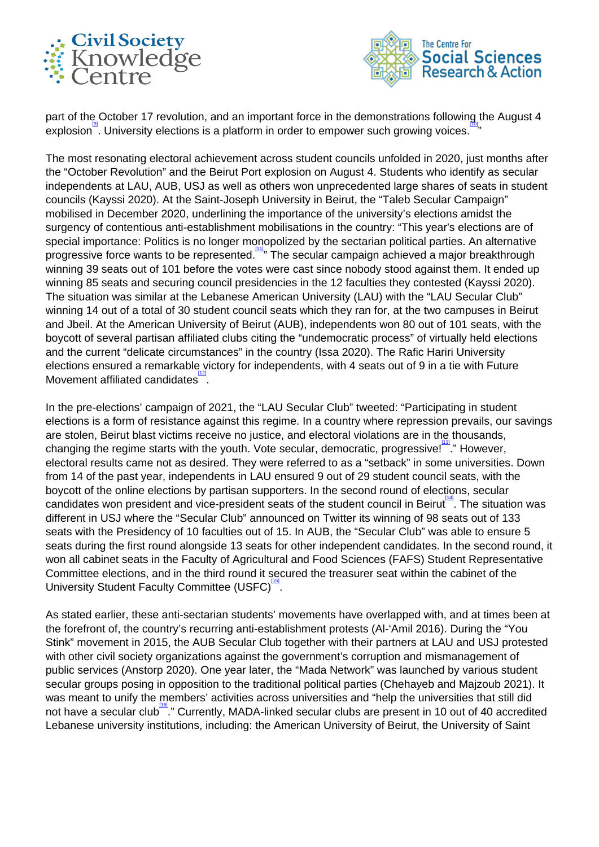



part of the October 17 revolution, and an important force in the demonstrations following the August 4  $\mathsf{explosion}^\mathsf{in}$ . University elections is a platform in order to empower such growing voices. "

The most resonating electoral achievement across student councils unfolded in 2020, just months after the "October Revolution" and the Beirut Port explosion on August 4. Students who identify as secular independents at LAU, AUB, USJ as well as others won unprecedented large shares of seats in student councils (Kayssi 2020). At the Saint-Joseph University in Beirut, the "Taleb Secular Campaign" mobilised in December 2020, underlining the importance of the university's elections amidst the surgency of contentious anti-establishment mobilisations in the country: "This year's elections are of special importance: Politics is no longer monopolized by the sectarian political parties. An alternative progressive force wants to be represented.<sup>[11]</sup> The secular campaign achieved a major breakthrough winning 39 seats out of 101 before the votes were cast since nobody stood against them. It ended up winning 85 seats and securing council presidencies in the 12 faculties they contested (Kayssi 2020). The situation was similar at the Lebanese American University (LAU) with the "LAU Secular Club" winning 14 out of a total of 30 student council seats which they ran for, at the two campuses in Beirut and Jbeil. At the American University of Beirut (AUB), independents won 80 out of 101 seats, with the boycott of several partisan affiliated clubs citing the "undemocratic process" of virtually held elections and the current "delicate circumstances" in the country (Issa 2020). The Rafic Hariri University elections ensured a remarkable victory for independents, with 4 seats out of 9 in a tie with Future Movement affiliated candidates<sup>12</sup>

In the pre-elections' campaign of 2021, the "LAU Secular Club" tweeted: "Participating in student elections is a form of resistance against this regime. In a country where repression prevails, our savings are stolen, Beirut blast victims receive no justice, and electoral violations are in the thousands, changing the regime starts with the youth. Vote secular, democratic, progressive!<sup>[13]</sup> " However, electoral results came not as desired. They were referred to as a "setback" in some universities. Down from 14 of the past year, independents in LAU ensured 9 out of 29 student council seats, with the boycott of the online elections by partisan supporters. In the second round of elections, secular candidates won president and vice-president seats of the student council in Beirut. The situation was different in USJ where the "Secular Club" announced on Twitter its winning of 98 seats out of 133 seats with the Presidency of 10 faculties out of 15. In AUB, the "Secular Club" was able to ensure 5 seats during the first round alongside 13 seats for other independent candidates. In the second round, it won all cabinet seats in the Faculty of Agricultural and Food Sciences (FAFS) Student Representative Committee elections, and in the third round it secured the treasurer seat within the cabinet of the University Student Faculty Committee (USFC)<sup>[15]</sup>

As stated earlier, these anti-sectarian students' movements have overlapped with, and at times been at the forefront of, the country's recurring anti-establishment protests (Al-'Amil 2016). During the "You Stink" movement in 2015, the AUB Secular Club together with their partners at LAU and USJ protested with other civil society organizations against the government's corruption and mismanagement of public services (Anstorp 2020). One year later, the "Mada Network" was launched by various student secular groups posing in opposition to the traditional political parties (Chehayeb and Majzoub 2021). It was meant to unify the members' activities across universities and "help the universities that still did not have a secular club<sup>tist</sup>." Currently, MADA-linked secular clubs are present in 10 out of 40 accredited Lebanese university institutions, including: the American University of Beirut, the University of Saint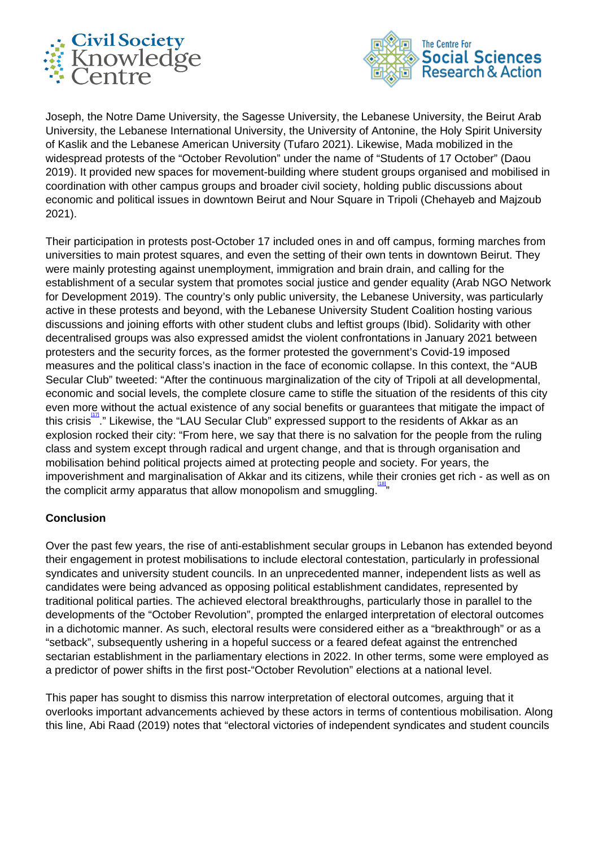



Joseph, the Notre Dame University, the Sagesse University, the Lebanese University, the Beirut Arab University, the Lebanese International University, the University of Antonine, the Holy Spirit University of Kaslik and the Lebanese American University (Tufaro 2021). Likewise, Mada mobilized in the widespread protests of the "October Revolution" under the name of "Students of 17 October" (Daou 2019). It provided new spaces for movement-building where student groups organised and mobilised in coordination with other campus groups and broader civil society, holding public discussions about economic and political issues in downtown Beirut and Nour Square in Tripoli (Chehayeb and Majzoub 2021).

Their participation in protests post-October 17 included ones in and off campus, forming marches from universities to main protest squares, and even the setting of their own tents in downtown Beirut. They were mainly protesting against unemployment, immigration and brain drain, and calling for the establishment of a secular system that promotes social justice and gender equality (Arab NGO Network for Development 2019). The country's only public university, the Lebanese University, was particularly active in these protests and beyond, with the Lebanese University Student Coalition hosting various discussions and joining efforts with other student clubs and leftist groups (Ibid). Solidarity with other decentralised groups was also expressed amidst the violent confrontations in January 2021 between protesters and the security forces, as the former protested the government's Covid-19 imposed measures and the political class's inaction in the face of economic collapse. In this context, the "AUB Secular Club" tweeted: "After the continuous marginalization of the city of Tripoli at all developmental, economic and social levels, the complete closure came to stifle the situation of the residents of this city even more without the actual existence of any social benefits or guarantees that mitigate the impact of this crisis ..." Likewise, the "LAU Secular Club" expressed support to the residents of Akkar as an explosion rocked their city: "From here, we say that there is no salvation for the people from the ruling class and system except through radical and urgent change, and that is through organisation and mobilisation behind political projects aimed at protecting people and society. For years, the impoverishment and marginalisation of Akkar and its citizens, while their cronies get rich - as well as on the complicit army apparatus that allow monopolism and smuggling.<sup>[18]</sup>

## **Conclusion**

Over the past few years, the rise of anti-establishment secular groups in Lebanon has extended beyond their engagement in protest mobilisations to include electoral contestation, particularly in professional syndicates and university student councils. In an unprecedented manner, independent lists as well as candidates were being advanced as opposing political establishment candidates, represented by traditional political parties. The achieved electoral breakthroughs, particularly those in parallel to the developments of the "October Revolution", prompted the enlarged interpretation of electoral outcomes in a dichotomic manner. As such, electoral results were considered either as a "breakthrough" or as a "setback", subsequently ushering in a hopeful success or a feared defeat against the entrenched sectarian establishment in the parliamentary elections in 2022. In other terms, some were employed as a predictor of power shifts in the first post-"October Revolution" elections at a national level.

This paper has sought to dismiss this narrow interpretation of electoral outcomes, arguing that it overlooks important advancements achieved by these actors in terms of contentious mobilisation. Along this line, Abi Raad (2019) notes that "electoral victories of independent syndicates and student councils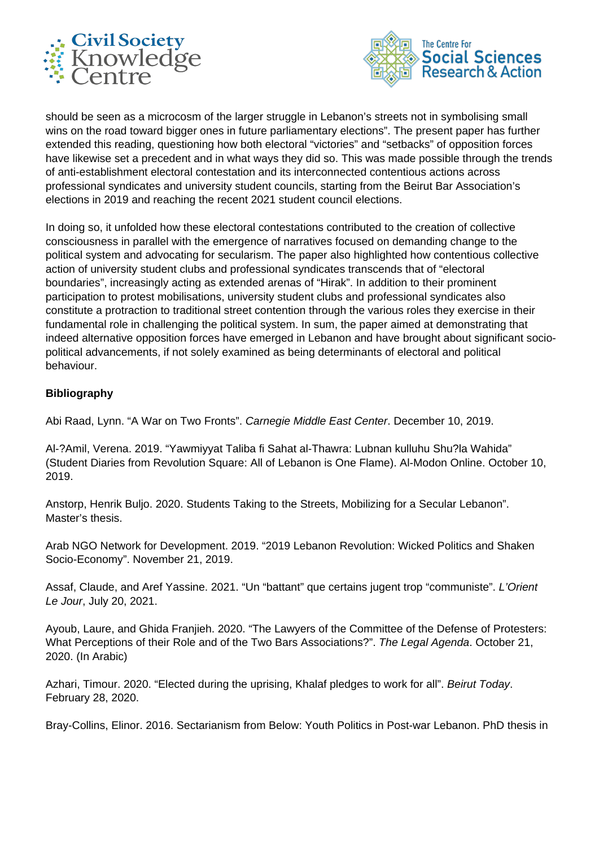



should be seen as a microcosm of the larger struggle in Lebanon's streets not in symbolising small wins on the road toward bigger ones in future parliamentary elections". The present paper has further extended this reading, questioning how both electoral "victories" and "setbacks" of opposition forces have likewise set a precedent and in what ways they did so. This was made possible through the trends of anti-establishment electoral contestation and its interconnected contentious actions across professional syndicates and university student councils, starting from the Beirut Bar Association's elections in 2019 and reaching the recent 2021 student council elections.

In doing so, it unfolded how these electoral contestations contributed to the creation of collective consciousness in parallel with the emergence of narratives focused on demanding change to the political system and advocating for secularism. The paper also highlighted how contentious collective action of university student clubs and professional syndicates transcends that of "electoral boundaries", increasingly acting as extended arenas of "Hirak". In addition to their prominent participation to protest mobilisations, university student clubs and professional syndicates also constitute a protraction to traditional street contention through the various roles they exercise in their fundamental role in challenging the political system. In sum, the paper aimed at demonstrating that indeed alternative opposition forces have emerged in Lebanon and have brought about significant sociopolitical advancements, if not solely examined as being determinants of electoral and political behaviour.

## **Bibliography**

Abi Raad, Lynn. "A War on Two Fronts". Carnegie Middle East Center. December 10, 2019.

Al-?Amil, Verena. 2019. "Yawmiyyat Taliba fi Sahat al-Thawra: Lubnan kulluhu Shu?la Wahida" (Student Diaries from Revolution Square: All of Lebanon is One Flame). Al-Modon Online. October 10, 2019.

Anstorp, Henrik Buljo. 2020. Students Taking to the Streets, Mobilizing for a Secular Lebanon". Master's thesis.

Arab NGO Network for Development. 2019. "2019 Lebanon Revolution: Wicked Politics and Shaken Socio-Economy". November 21, 2019.

Assaf, Claude, and Aref Yassine. 2021. "Un "battant" que certains jugent trop "communiste". L'Orient Le Jour, July 20, 2021.

Ayoub, Laure, and Ghida Franjieh. 2020. "The Lawyers of the Committee of the Defense of Protesters: What Perceptions of their Role and of the Two Bars Associations?". The Legal Agenda. October 21, 2020. (In Arabic)

Azhari, Timour. 2020. "Elected during the uprising, Khalaf pledges to work for all". Beirut Today. February 28, 2020.

Bray-Collins, Elinor. 2016. Sectarianism from Below: Youth Politics in Post-war Lebanon. PhD thesis in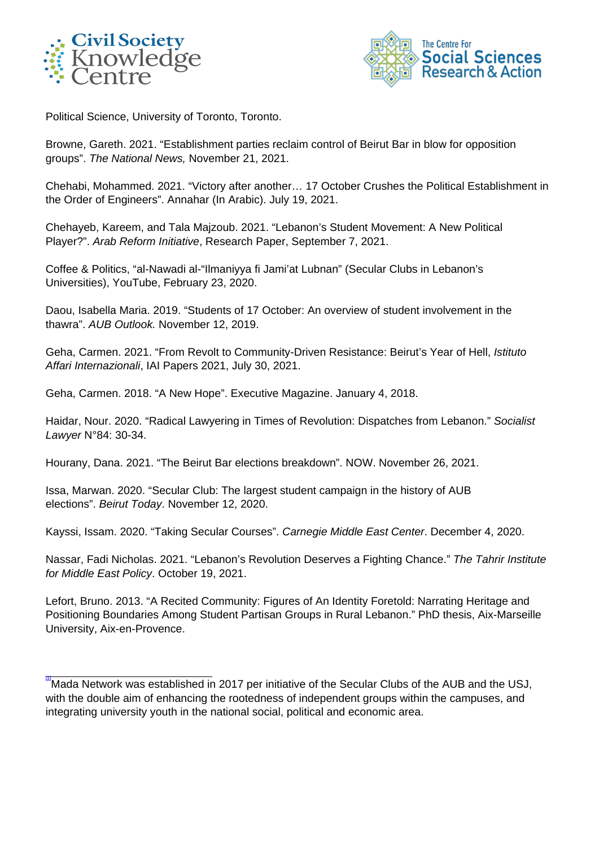



Political Science, University of Toronto, Toronto.

Browne, Gareth. 2021. "Establishment parties reclaim control of Beirut Bar in blow for opposition groups". The National News, November 21, 2021.

Chehabi, Mohammed. 2021. "Victory after another… 17 October Crushes the Political Establishment in the Order of Engineers". Annahar (In Arabic). July 19, 2021.

Chehayeb, Kareem, and Tala Majzoub. 2021. "Lebanon's Student Movement: A New Political Player?". Arab Reform Initiative, Research Paper, September 7, 2021.

Coffee & Politics, "al-Nawadi al-"Ilmaniyya fi Jami'at Lubnan" (Secular Clubs in Lebanon's Universities), YouTube, February 23, 2020.

Daou, Isabella Maria. 2019. "Students of 17 October: An overview of student involvement in the thawra". AUB Outlook. November 12, 2019.

Geha, Carmen. 2021. "From Revolt to Community-Driven Resistance: Beirut's Year of Hell, Istituto Affari Internazionali, IAI Papers 2021, July 30, 2021.

Geha, Carmen. 2018. "A New Hope". Executive Magazine. January 4, 2018.

Haidar, Nour. 2020. "Radical Lawyering in Times of Revolution: Dispatches from Lebanon." Socialist Lawyer N°84: 30-34.

Hourany, Dana. 2021. "The Beirut Bar elections breakdown". NOW. November 26, 2021.

Issa, Marwan. 2020. "Secular Club: The largest student campaign in the history of AUB elections". Beirut Today. November 12, 2020.

Kayssi, Issam. 2020. "Taking Secular Courses". Carnegie Middle East Center. December 4, 2020.

Nassar, Fadi Nicholas. 2021. "Lebanon's Revolution Deserves a Fighting Chance." The Tahrir Institute for Middle East Policy. October 19, 2021.

Lefort, Bruno. 2013. "A Recited Community: Figures of An Identity Foretold: Narrating Heritage and Positioning Boundaries Among Student Partisan Groups in Rural Lebanon." PhD thesis, Aix-Marseille University, Aix-en-Provence.

<sup>&</sup>quot;Mada Network was established in 2017 per initiative of the Secular Clubs of the AUB and the USJ, with the double aim of enhancing the rootedness of independent groups within the campuses, and integrating university youth in the national social, political and economic area.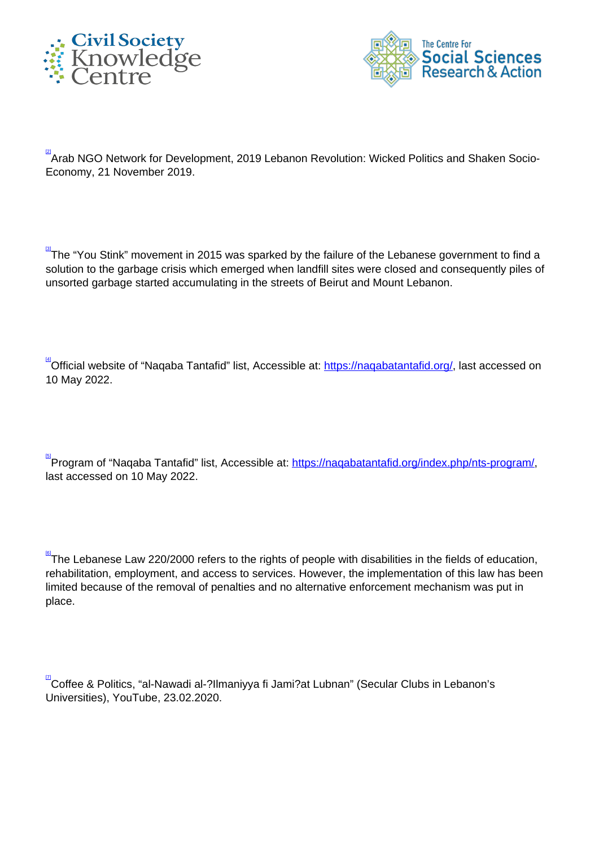



 $\frac{[2]}{2}$ Arab NGO Network for Development, 2019 Lebanon Revolution: Wicked Politics and Shaken Socio-Economy, 21 November 2019.

<mark>ଆ</mark><br>"The "You Stink" movement in 2015 was sparked by the failure of the Lebanese government to find a solution to the garbage crisis which emerged when landfill sites were closed and consequently piles of unsorted garbage started accumulating in the streets of Beirut and Mount Lebanon.

<sup>[4]</sup>Official website of "Naqaba Tantafid" list, Accessible at: <u>https://naqabatantafid.org/</u>, last accessed on 10 May 2022.

<u>ାର</u><br>Program of "Naqaba Tantafid" list, Accessible at: <u>https://naqabatantafid.org/index.php/nts-program/</u>, last accessed on 10 May 2022.

 $\frac{60}{6}$ The Lebanese Law 220/2000 refers to the rights of people with disabilities in the fields of education, rehabilitation, employment, and access to services. However, the implementation of this law has been limited because of the removal of penalties and no alternative enforcement mechanism was put in place.

**<sup>¤</sup>Coffee & Politics, "al-Nawadi al-?Ilmaniyya fi Jami?at Lubnan" (Secular Clubs in Lebanon's** Universities), YouTube, 23.02.2020.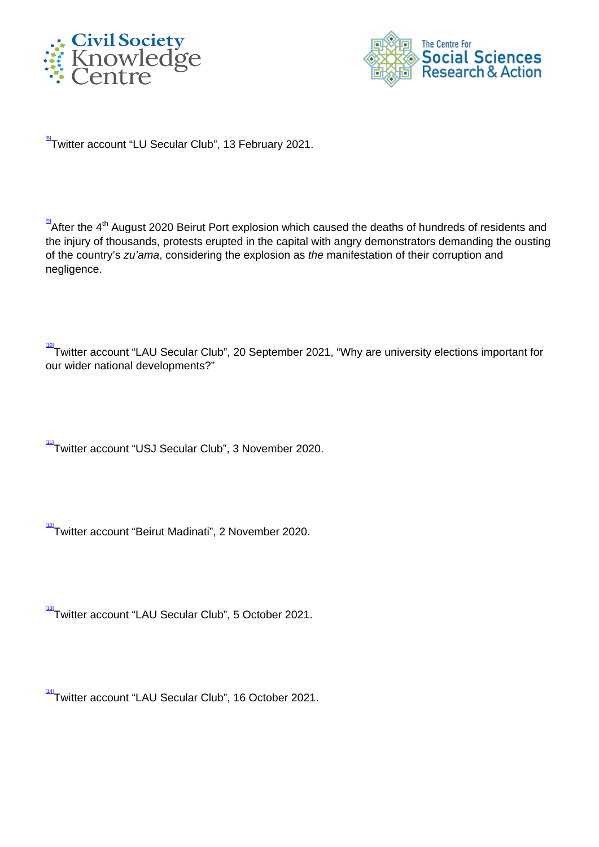



[8] Twitter account "LU Secular Club", 13 February 2021.

**A**fter the 4<sup>th</sup> August 2020 Beirut Port explosion which caused the deaths of hundreds of residents and the injury of thousands, protests erupted in the capital with angry demonstrators demanding the ousting of the country's zu'ama, considering the explosion as the manifestation of their corruption and negligence.

<sup>[10]</sup>Twitter account "LAU Secular Club", 20 September 2021, "Why are university elections important for our wider national developments?"

 $\frac{111}{11}$ Twitter account "USJ Secular Club", 3 November 2020.

<sup>112</sup>Twitter account "Beirut Madinati", 2 November 2020.

<sup>[13]</sup>Twitter account "LAU Secular Club", 5 October 2021.

[14] Twitter account "LAU Secular Club", 16 October 2021.